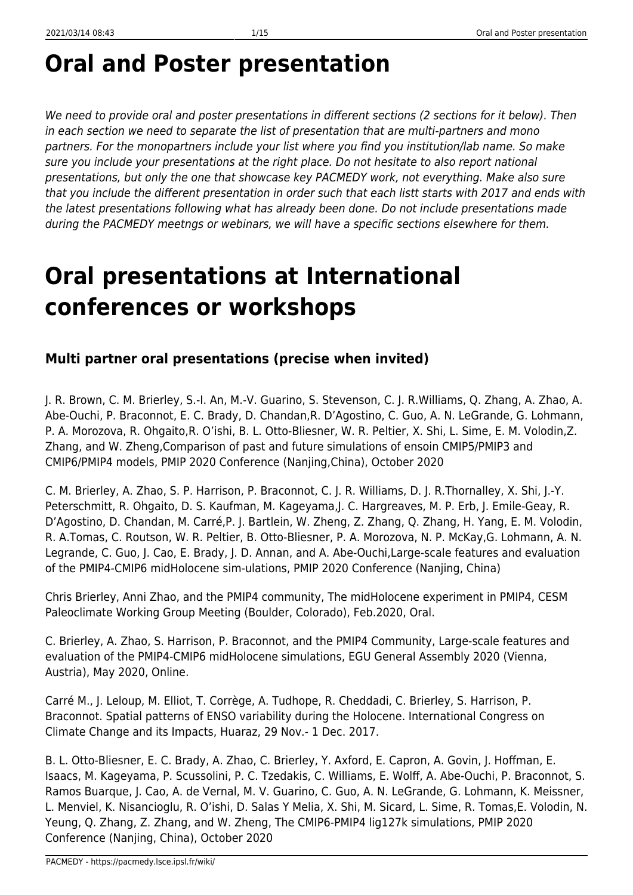# **Oral and Poster presentation**

We need to provide oral and poster presentations in different sections (2 sections for it below). Then in each section we need to separate the list of presentation that are multi-partners and mono partners. For the monopartners include your list where you find you institution/lab name. So make sure you include your presentations at the right place. Do not hesitate to also report national presentations, but only the one that showcase key PACMEDY work, not everything. Make also sure that you include the different presentation in order such that each listt starts with 2017 and ends with the latest presentations following what has already been done. Do not include presentations made during the PACMEDY meetngs or webinars, we will have a specific sections elsewhere for them.

# **Oral presentations at International conferences or workshops**

# **Multi partner oral presentations (precise when invited)**

J. R. Brown, C. M. Brierley, S.-I. An, M.-V. Guarino, S. Stevenson, C. J. R.Williams, Q. Zhang, A. Zhao, A. Abe-Ouchi, P. Braconnot, E. C. Brady, D. Chandan,R. D'Agostino, C. Guo, A. N. LeGrande, G. Lohmann, P. A. Morozova, R. Ohgaito,R. O'ishi, B. L. Otto-Bliesner, W. R. Peltier, X. Shi, L. Sime, E. M. Volodin,Z. Zhang, and W. Zheng,Comparison of past and future simulations of ensoin CMIP5/PMIP3 and CMIP6/PMIP4 models, PMIP 2020 Conference (Nanjing,China), October 2020

C. M. Brierley, A. Zhao, S. P. Harrison, P. Braconnot, C. J. R. Williams, D. J. R.Thornalley, X. Shi, J.-Y. Peterschmitt, R. Ohgaito, D. S. Kaufman, M. Kageyama,J. C. Hargreaves, M. P. Erb, J. Emile-Geay, R. D'Agostino, D. Chandan, M. Carré,P. J. Bartlein, W. Zheng, Z. Zhang, Q. Zhang, H. Yang, E. M. Volodin, R. A.Tomas, C. Routson, W. R. Peltier, B. Otto-Bliesner, P. A. Morozova, N. P. McKay,G. Lohmann, A. N. Legrande, C. Guo, J. Cao, E. Brady, J. D. Annan, and A. Abe-Ouchi,Large-scale features and evaluation of the PMIP4-CMIP6 midHolocene sim-ulations, PMIP 2020 Conference (Nanjing, China)

Chris Brierley, Anni Zhao, and the PMIP4 community, The midHolocene experiment in PMIP4, CESM Paleoclimate Working Group Meeting (Boulder, Colorado), Feb.2020, Oral.

C. Brierley, A. Zhao, S. Harrison, P. Braconnot, and the PMIP4 Community, Large-scale features and evaluation of the PMIP4-CMIP6 midHolocene simulations, EGU General Assembly 2020 (Vienna, Austria), May 2020, Online.

Carré M., J. Leloup, M. Elliot, T. Corrège, A. Tudhope, R. Cheddadi, C. Brierley, S. Harrison, P. Braconnot. Spatial patterns of ENSO variability during the Holocene. International Congress on Climate Change and its Impacts, Huaraz, 29 Nov.- 1 Dec. 2017.

B. L. Otto-Bliesner, E. C. Brady, A. Zhao, C. Brierley, Y. Axford, E. Capron, A. Govin, J. Hoffman, E. Isaacs, M. Kageyama, P. Scussolini, P. C. Tzedakis, C. Williams, E. Wolff, A. Abe-Ouchi, P. Braconnot, S. Ramos Buarque, J. Cao, A. de Vernal, M. V. Guarino, C. Guo, A. N. LeGrande, G. Lohmann, K. Meissner, L. Menviel, K. Nisancioglu, R. O'ishi, D. Salas Y Melia, X. Shi, M. Sicard, L. Sime, R. Tomas,E. Volodin, N. Yeung, Q. Zhang, Z. Zhang, and W. Zheng, The CMIP6-PMIP4 lig127k simulations, PMIP 2020 Conference (Nanjing, China), October 2020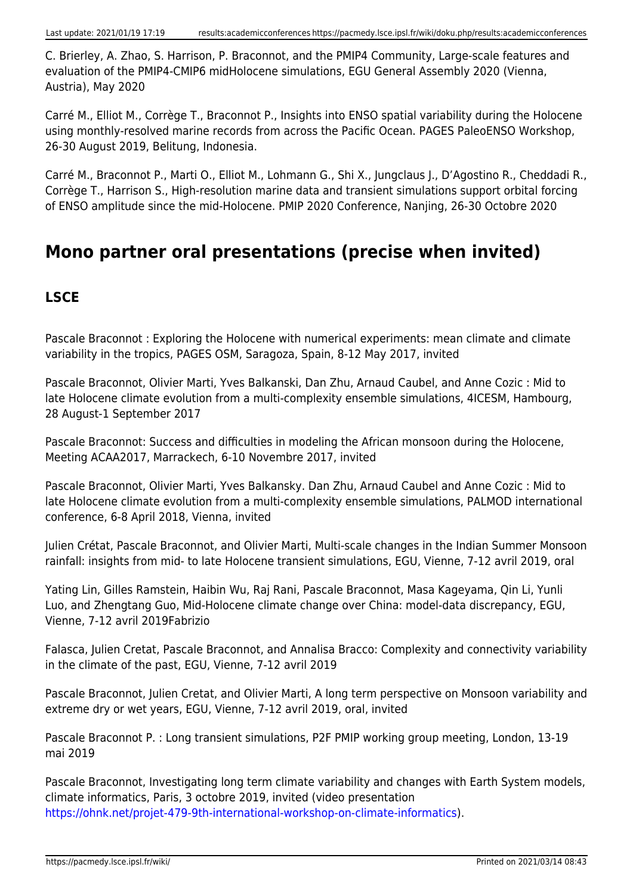C. Brierley, A. Zhao, S. Harrison, P. Braconnot, and the PMIP4 Community, Large-scale features and evaluation of the PMIP4-CMIP6 midHolocene simulations, EGU General Assembly 2020 (Vienna, Austria), May 2020

Carré M., Elliot M., Corrège T., Braconnot P., Insights into ENSO spatial variability during the Holocene using monthly-resolved marine records from across the Pacific Ocean. PAGES PaleoENSO Workshop, 26-30 August 2019, Belitung, Indonesia.

Carré M., Braconnot P., Marti O., Elliot M., Lohmann G., Shi X., Jungclaus J., D'Agostino R., Cheddadi R., Corrège T., Harrison S., High-resolution marine data and transient simulations support orbital forcing of ENSO amplitude since the mid-Holocene. PMIP 2020 Conference, Nanjing, 26-30 Octobre 2020

# **Mono partner oral presentations (precise when invited)**

# **LSCE**

Pascale Braconnot : Exploring the Holocene with numerical experiments: mean climate and climate variability in the tropics, PAGES OSM, Saragoza, Spain, 8-12 May 2017, invited

Pascale Braconnot, Olivier Marti, Yves Balkanski, Dan Zhu, Arnaud Caubel, and Anne Cozic : Mid to late Holocene climate evolution from a multi-complexity ensemble simulations, 4ICESM, Hambourg, 28 August-1 September 2017

Pascale Braconnot: Success and difficulties in modeling the African monsoon during the Holocene, Meeting ACAA2017, Marrackech, 6-10 Novembre 2017, invited

Pascale Braconnot, Olivier Marti, Yves Balkansky. Dan Zhu, Arnaud Caubel and Anne Cozic : Mid to late Holocene climate evolution from a multi-complexity ensemble simulations, PALMOD international conference, 6-8 April 2018, Vienna, invited

Julien Crétat, Pascale Braconnot, and Olivier Marti, Multi-scale changes in the Indian Summer Monsoon rainfall: insights from mid- to late Holocene transient simulations, EGU, Vienne, 7-12 avril 2019, oral

Yating Lin, Gilles Ramstein, Haibin Wu, Raj Rani, Pascale Braconnot, Masa Kageyama, Qin Li, Yunli Luo, and Zhengtang Guo, Mid-Holocene climate change over China: model-data discrepancy, EGU, Vienne, 7-12 avril 2019Fabrizio

Falasca, Julien Cretat, Pascale Braconnot, and Annalisa Bracco: Complexity and connectivity variability in the climate of the past, EGU, Vienne, 7-12 avril 2019

Pascale Braconnot, Julien Cretat, and Olivier Marti, A long term perspective on Monsoon variability and extreme dry or wet years, EGU, Vienne, 7-12 avril 2019, oral, invited

Pascale Braconnot P. : Long transient simulations, P2F PMIP working group meeting, London, 13-19 mai 2019

Pascale Braconnot, Investigating long term climate variability and changes with Earth System models, climate informatics, Paris, 3 octobre 2019, invited (video presentation [https://ohnk.net/projet-479-9th-international-workshop-on-climate-informatics\)](https://ohnk.net/projet-479-9th-international-workshop-on-climate-informatics).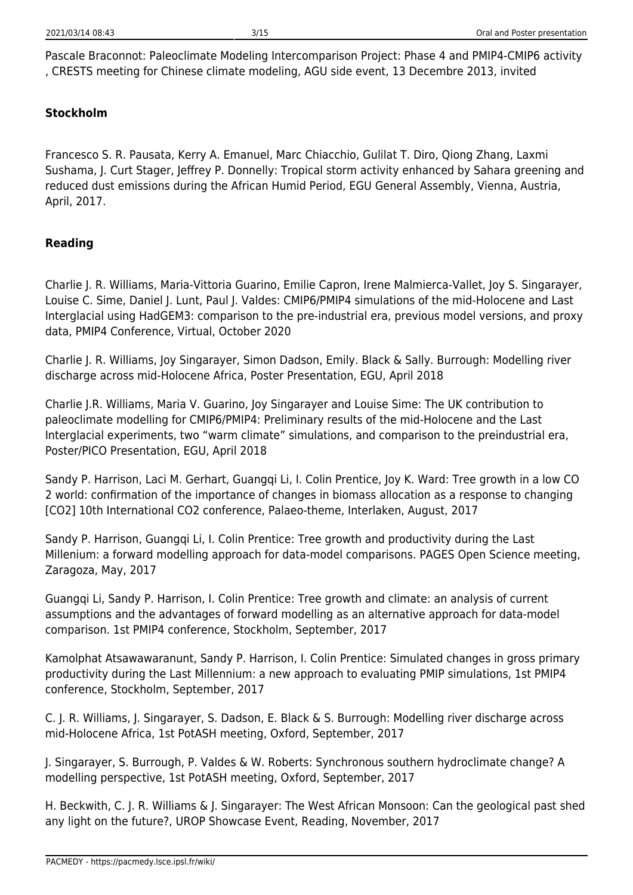Pascale Braconnot: Paleoclimate Modeling Intercomparison Project: Phase 4 and PMIP4-CMIP6 activity , CRESTS meeting for Chinese climate modeling, AGU side event, 13 Decembre 2013, invited

#### **Stockholm**

Francesco S. R. Pausata, Kerry A. Emanuel, Marc Chiacchio, Gulilat T. Diro, Qiong Zhang, Laxmi Sushama, J. Curt Stager, Jeffrey P. Donnelly: Tropical storm activity enhanced by Sahara greening and reduced dust emissions during the African Humid Period, EGU General Assembly, Vienna, Austria, April, 2017.

#### **Reading**

Charlie J. R. Williams, Maria-Vittoria Guarino, Emilie Capron, Irene Malmierca-Vallet, Joy S. Singarayer, Louise C. Sime, Daniel J. Lunt, Paul J. Valdes: CMIP6/PMIP4 simulations of the mid-Holocene and Last Interglacial using HadGEM3: comparison to the pre-industrial era, previous model versions, and proxy data, PMIP4 Conference, Virtual, October 2020

Charlie J. R. Williams, Joy Singarayer, Simon Dadson, Emily. Black & Sally. Burrough: Modelling river discharge across mid-Holocene Africa, Poster Presentation, EGU, April 2018

Charlie J.R. Williams, Maria V. Guarino, Joy Singarayer and Louise Sime: The UK contribution to paleoclimate modelling for CMIP6/PMIP4: Preliminary results of the mid-Holocene and the Last Interglacial experiments, two "warm climate" simulations, and comparison to the preindustrial era, Poster/PICO Presentation, EGU, April 2018

Sandy P. Harrison, Laci M. Gerhart, Guangqi Li, I. Colin Prentice, Joy K. Ward: Tree growth in a low CO 2 world: confirmation of the importance of changes in biomass allocation as a response to changing [CO2] 10th International CO2 conference, Palaeo-theme, Interlaken, August, 2017

Sandy P. Harrison, Guangqi Li, I. Colin Prentice: Tree growth and productivity during the Last Millenium: a forward modelling approach for data-model comparisons. PAGES Open Science meeting, Zaragoza, May, 2017

Guangqi Li, Sandy P. Harrison, I. Colin Prentice: Tree growth and climate: an analysis of current assumptions and the advantages of forward modelling as an alternative approach for data-model comparison. 1st PMIP4 conference, Stockholm, September, 2017

Kamolphat Atsawawaranunt, Sandy P. Harrison, I. Colin Prentice: Simulated changes in gross primary productivity during the Last Millennium: a new approach to evaluating PMIP simulations, 1st PMIP4 conference, Stockholm, September, 2017

C. J. R. Williams, J. Singarayer, S. Dadson, E. Black & S. Burrough: Modelling river discharge across mid-Holocene Africa, 1st PotASH meeting, Oxford, September, 2017

J. Singarayer, S. Burrough, P. Valdes & W. Roberts: Synchronous southern hydroclimate change? A modelling perspective, 1st PotASH meeting, Oxford, September, 2017

H. Beckwith, C. J. R. Williams & J. Singarayer: The West African Monsoon: Can the geological past shed any light on the future?, UROP Showcase Event, Reading, November, 2017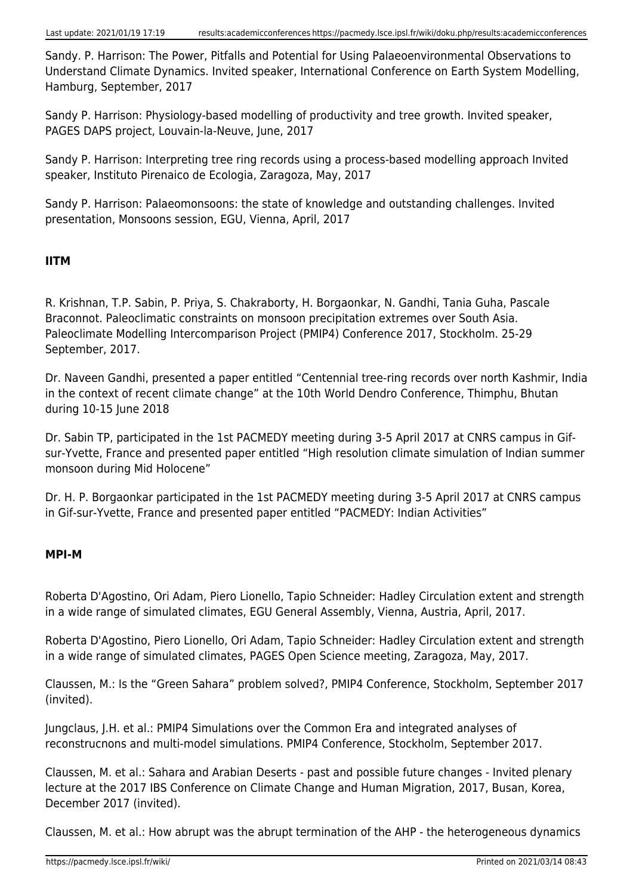Sandy. P. Harrison: The Power, Pitfalls and Potential for Using Palaeoenvironmental Observations to Understand Climate Dynamics. Invited speaker, International Conference on Earth System Modelling, Hamburg, September, 2017

Sandy P. Harrison: Physiology-based modelling of productivity and tree growth. Invited speaker, PAGES DAPS project, Louvain-la-Neuve, June, 2017

Sandy P. Harrison: Interpreting tree ring records using a process-based modelling approach Invited speaker, Instituto Pirenaico de Ecologia, Zaragoza, May, 2017

Sandy P. Harrison: Palaeomonsoons: the state of knowledge and outstanding challenges. Invited presentation, Monsoons session, EGU, Vienna, April, 2017

# **IITM**

R. Krishnan, T.P. Sabin, P. Priya, S. Chakraborty, H. Borgaonkar, N. Gandhi, Tania Guha, Pascale Braconnot. Paleoclimatic constraints on monsoon precipitation extremes over South Asia. Paleoclimate Modelling Intercomparison Project (PMIP4) Conference 2017, Stockholm. 25-29 September, 2017.

Dr. Naveen Gandhi, presented a paper entitled "Centennial tree-ring records over north Kashmir, India in the context of recent climate change" at the 10th World Dendro Conference, Thimphu, Bhutan during 10-15 June 2018

Dr. Sabin TP, participated in the 1st PACMEDY meeting during 3-5 April 2017 at CNRS campus in Gifsur-Yvette, France and presented paper entitled "High resolution climate simulation of Indian summer monsoon during Mid Holocene"

Dr. H. P. Borgaonkar participated in the 1st PACMEDY meeting during 3-5 April 2017 at CNRS campus in Gif-sur-Yvette, France and presented paper entitled "PACMEDY: Indian Activities"

#### **MPI-M**

Roberta D'Agostino, Ori Adam, Piero Lionello, Tapio Schneider: Hadley Circulation extent and strength in a wide range of simulated climates, EGU General Assembly, Vienna, Austria, April, 2017.

Roberta D'Agostino, Piero Lionello, Ori Adam, Tapio Schneider: Hadley Circulation extent and strength in a wide range of simulated climates, PAGES Open Science meeting, Zaragoza, May, 2017.

Claussen, M.: Is the "Green Sahara" problem solved?, PMIP4 Conference, Stockholm, September 2017 (invited).

Jungclaus, J.H. et al.: PMIP4 Simulations over the Common Era and integrated analyses of reconstrucnons and multi-model simulations. PMIP4 Conference, Stockholm, September 2017.

Claussen, M. et al.: Sahara and Arabian Deserts - past and possible future changes - Invited plenary lecture at the 2017 IBS Conference on Climate Change and Human Migration, 2017, Busan, Korea, December 2017 (invited).

Claussen, M. et al.: How abrupt was the abrupt termination of the AHP - the heterogeneous dynamics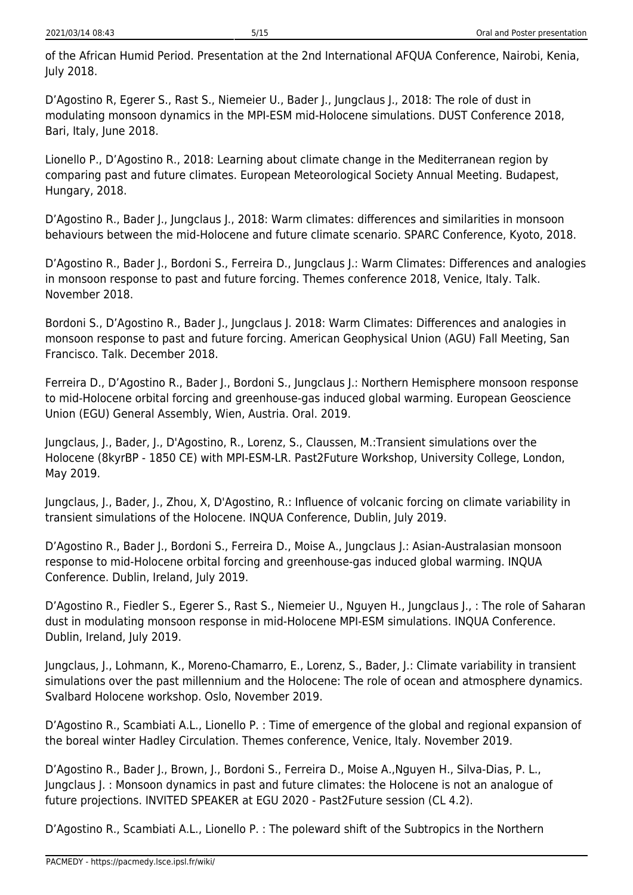of the African Humid Period. Presentation at the 2nd International AFQUA Conference, Nairobi, Kenia, July 2018.

D'Agostino R, Egerer S., Rast S., Niemeier U., Bader J., Jungclaus J., 2018: The role of dust in modulating monsoon dynamics in the MPI-ESM mid-Holocene simulations. DUST Conference 2018, Bari, Italy, June 2018.

Lionello P., D'Agostino R., 2018: Learning about climate change in the Mediterranean region by comparing past and future climates. European Meteorological Society Annual Meeting. Budapest, Hungary, 2018.

D'Agostino R., Bader J., Jungclaus J., 2018: Warm climates: differences and similarities in monsoon behaviours between the mid-Holocene and future climate scenario. SPARC Conference, Kyoto, 2018.

D'Agostino R., Bader J., Bordoni S., Ferreira D., Jungclaus J.: Warm Climates: Differences and analogies in monsoon response to past and future forcing. Themes conference 2018, Venice, Italy. Talk. November 2018.

Bordoni S., D'Agostino R., Bader J., Jungclaus J. 2018: Warm Climates: Differences and analogies in monsoon response to past and future forcing. American Geophysical Union (AGU) Fall Meeting, San Francisco. Talk. December 2018.

Ferreira D., D'Agostino R., Bader J., Bordoni S., Jungclaus J.: Northern Hemisphere monsoon response to mid-Holocene orbital forcing and greenhouse-gas induced global warming. European Geoscience Union (EGU) General Assembly, Wien, Austria. Oral. 2019.

Jungclaus, J., Bader, J., D'Agostino, R., Lorenz, S., Claussen, M.:Transient simulations over the Holocene (8kyrBP - 1850 CE) with MPI-ESM-LR. Past2Future Workshop, University College, London, May 2019.

Jungclaus, J., Bader, J., Zhou, X, D'Agostino, R.: Influence of volcanic forcing on climate variability in transient simulations of the Holocene. INQUA Conference, Dublin, July 2019.

D'Agostino R., Bader J., Bordoni S., Ferreira D., Moise A., Jungclaus J.: Asian-Australasian monsoon response to mid-Holocene orbital forcing and greenhouse-gas induced global warming. INQUA Conference. Dublin, Ireland, July 2019.

D'Agostino R., Fiedler S., Egerer S., Rast S., Niemeier U., Nguyen H., Jungclaus J., : The role of Saharan dust in modulating monsoon response in mid-Holocene MPI-ESM simulations. INQUA Conference. Dublin, Ireland, July 2019.

Jungclaus, J., Lohmann, K., Moreno-Chamarro, E., Lorenz, S., Bader, J.: Climate variability in transient simulations over the past millennium and the Holocene: The role of ocean and atmosphere dynamics. Svalbard Holocene workshop. Oslo, November 2019.

D'Agostino R., Scambiati A.L., Lionello P. : Time of emergence of the global and regional expansion of the boreal winter Hadley Circulation. Themes conference, Venice, Italy. November 2019.

D'Agostino R., Bader J., Brown, J., Bordoni S., Ferreira D., Moise A.,Nguyen H., Silva-Dias, P. L., Jungclaus J. : Monsoon dynamics in past and future climates: the Holocene is not an analogue of future projections. INVITED SPEAKER at EGU 2020 - Past2Future session (CL 4.2).

D'Agostino R., Scambiati A.L., Lionello P. : The poleward shift of the Subtropics in the Northern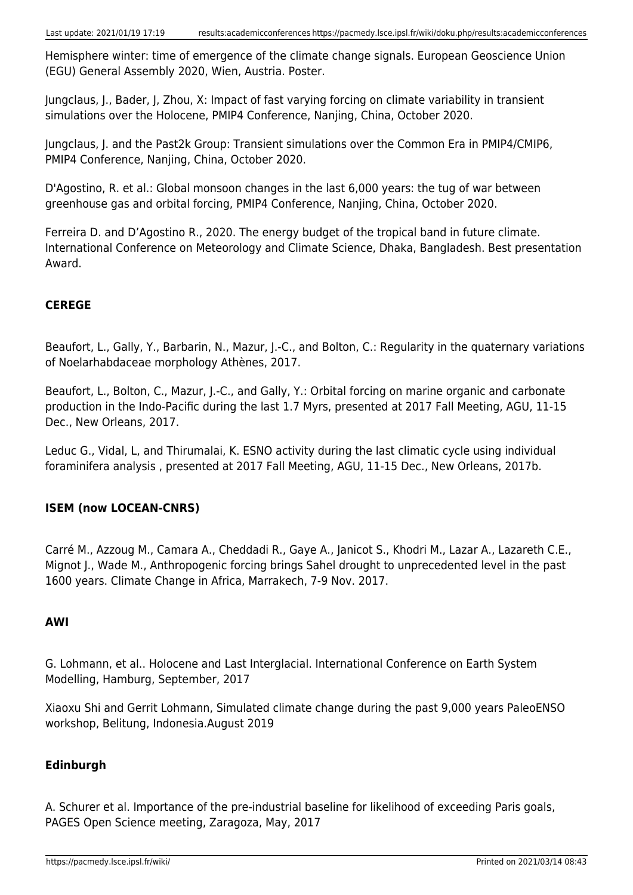Hemisphere winter: time of emergence of the climate change signals. European Geoscience Union (EGU) General Assembly 2020, Wien, Austria. Poster.

Jungclaus, J., Bader, J, Zhou, X: Impact of fast varying forcing on climate variability in transient simulations over the Holocene, PMIP4 Conference, Nanjing, China, October 2020.

Jungclaus, J. and the Past2k Group: Transient simulations over the Common Era in PMIP4/CMIP6, PMIP4 Conference, Nanjing, China, October 2020.

D'Agostino, R. et al.: Global monsoon changes in the last 6,000 years: the tug of war between greenhouse gas and orbital forcing, PMIP4 Conference, Nanjing, China, October 2020.

Ferreira D. and D'Agostino R., 2020. The energy budget of the tropical band in future climate. International Conference on Meteorology and Climate Science, Dhaka, Bangladesh. Best presentation Award.

# **CEREGE**

Beaufort, L., Gally, Y., Barbarin, N., Mazur, J.-C., and Bolton, C.: Regularity in the quaternary variations of Noelarhabdaceae morphology Athènes, 2017.

Beaufort, L., Bolton, C., Mazur, J.-C., and Gally, Y.: Orbital forcing on marine organic and carbonate production in the Indo-Pacific during the last 1.7 Myrs, presented at 2017 Fall Meeting, AGU, 11-15 Dec., New Orleans, 2017.

Leduc G., Vidal, L, and Thirumalai, K. ESNO activity during the last climatic cycle using individual foraminifera analysis , presented at 2017 Fall Meeting, AGU, 11-15 Dec., New Orleans, 2017b.

# **ISEM (now LOCEAN-CNRS)**

Carré M., Azzoug M., Camara A., Cheddadi R., Gaye A., Janicot S., Khodri M., Lazar A., Lazareth C.E., Mignot J., Wade M., Anthropogenic forcing brings Sahel drought to unprecedented level in the past 1600 years. Climate Change in Africa, Marrakech, 7-9 Nov. 2017.

# **AWI**

G. Lohmann, et al.. Holocene and Last Interglacial. International Conference on Earth System Modelling, Hamburg, September, 2017

Xiaoxu Shi and Gerrit Lohmann, Simulated climate change during the past 9,000 years PaleoENSO workshop, Belitung, Indonesia.August 2019

# **Edinburgh**

A. Schurer et al. Importance of the pre-industrial baseline for likelihood of exceeding Paris goals, PAGES Open Science meeting, Zaragoza, May, 2017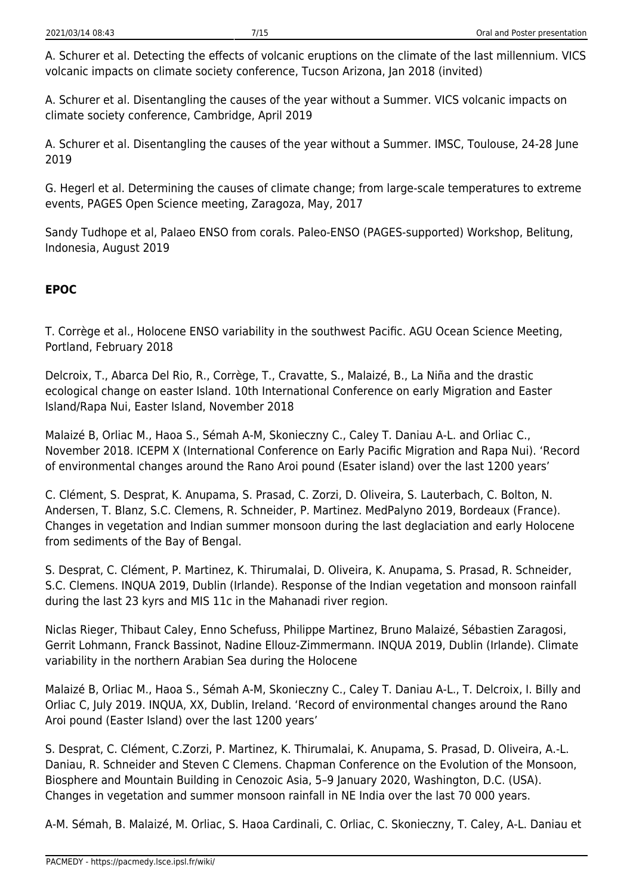A. Schurer et al. Detecting the effects of volcanic eruptions on the climate of the last millennium. VICS volcanic impacts on climate society conference, Tucson Arizona, Jan 2018 (invited)

A. Schurer et al. Disentangling the causes of the year without a Summer. VICS volcanic impacts on climate society conference, Cambridge, April 2019

A. Schurer et al. Disentangling the causes of the year without a Summer. IMSC, Toulouse, 24-28 June 2019

G. Hegerl et al. Determining the causes of climate change; from large-scale temperatures to extreme events, PAGES Open Science meeting, Zaragoza, May, 2017

Sandy Tudhope et al, Palaeo ENSO from corals. Paleo-ENSO (PAGES-supported) Workshop, Belitung, Indonesia, August 2019

# **EPOC**

T. Corrège et al., Holocene ENSO variability in the southwest Pacific. AGU Ocean Science Meeting, Portland, February 2018

Delcroix, T., Abarca Del Rio, R., Corrège, T., Cravatte, S., Malaizé, B., La Niña and the drastic ecological change on easter Island. 10th International Conference on early Migration and Easter Island/Rapa Nui, Easter Island, November 2018

Malaizé B, Orliac M., Haoa S., Sémah A-M, Skonieczny C., Caley T. Daniau A-L. and Orliac C., November 2018. ICEPM X (International Conference on Early Pacific Migration and Rapa Nui). 'Record of environmental changes around the Rano Aroi pound (Esater island) over the last 1200 years'

C. Clément, S. Desprat, K. Anupama, S. Prasad, C. Zorzi, D. Oliveira, S. Lauterbach, C. Bolton, N. Andersen, T. Blanz, S.C. Clemens, R. Schneider, P. Martinez. MedPalyno 2019, Bordeaux (France). Changes in vegetation and Indian summer monsoon during the last deglaciation and early Holocene from sediments of the Bay of Bengal.

S. Desprat, C. Clément, P. Martinez, K. Thirumalai, D. Oliveira, K. Anupama, S. Prasad, R. Schneider, S.C. Clemens. INQUA 2019, Dublin (Irlande). Response of the Indian vegetation and monsoon rainfall during the last 23 kyrs and MIS 11c in the Mahanadi river region.

Niclas Rieger, Thibaut Caley, Enno Schefuss, Philippe Martinez, Bruno Malaizé, Sébastien Zaragosi, Gerrit Lohmann, Franck Bassinot, Nadine Ellouz-Zimmermann. INQUA 2019, Dublin (Irlande). Climate variability in the northern Arabian Sea during the Holocene

Malaizé B, Orliac M., Haoa S., Sémah A-M, Skonieczny C., Caley T. Daniau A-L., T. Delcroix, I. Billy and Orliac C, July 2019. INQUA, XX, Dublin, Ireland. 'Record of environmental changes around the Rano Aroi pound (Easter Island) over the last 1200 years'

S. Desprat, C. Clément, C.Zorzi, P. Martinez, K. Thirumalai, K. Anupama, S. Prasad, D. Oliveira, A.-L. Daniau, R. Schneider and Steven C Clemens. Chapman Conference on the Evolution of the Monsoon, Biosphere and Mountain Building in Cenozoic Asia, 5–9 January 2020, Washington, D.C. (USA). Changes in vegetation and summer monsoon rainfall in NE India over the last 70 000 years.

A-M. Sémah, B. Malaizé, M. Orliac, S. Haoa Cardinali, C. Orliac, C. Skonieczny, T. Caley, A-L. Daniau et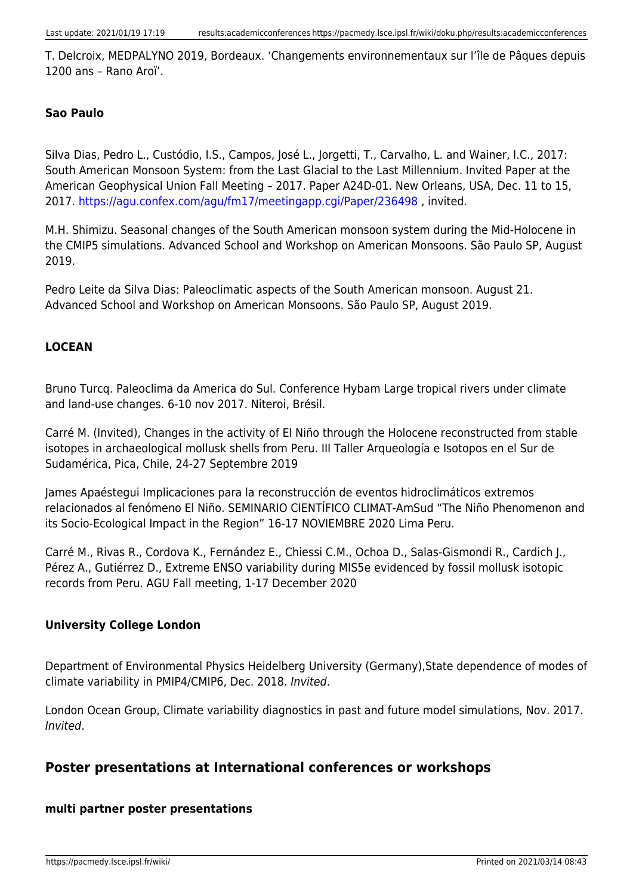T. Delcroix, MEDPALYNO 2019, Bordeaux. 'Changements environnementaux sur l'île de Pâques depuis 1200 ans – Rano Aroï'.

#### **Sao Paulo**

Silva Dias, Pedro L., Custódio, I.S., Campos, José L., Jorgetti, T., Carvalho, L. and Wainer, I.C., 2017: South American Monsoon System: from the Last Glacial to the Last Millennium. Invited Paper at the American Geophysical Union Fall Meeting – 2017. Paper A24D-01. New Orleans, USA, Dec. 11 to 15, 2017. <https://agu.confex.com/agu/fm17/meetingapp.cgi/Paper/236498> , invited.

M.H. Shimizu. Seasonal changes of the South American monsoon system during the Mid-Holocene in the CMIP5 simulations. Advanced School and Workshop on American Monsoons. São Paulo SP, August 2019.

Pedro Leite da Silva Dias: Paleoclimatic aspects of the South American monsoon. August 21. Advanced School and Workshop on American Monsoons. São Paulo SP, August 2019.

#### **LOCEAN**

Bruno Turcq. Paleoclima da America do Sul. Conference Hybam Large tropical rivers under climate and land-use changes. 6-10 nov 2017. Niteroi, Brésil.

Carré M. (Invited), Changes in the activity of El Niño through the Holocene reconstructed from stable isotopes in archaeological mollusk shells from Peru. III Taller Arqueología e Isotopos en el Sur de Sudamérica, Pica, Chile, 24-27 Septembre 2019

James Apaéstegui Implicaciones para la reconstrucción de eventos hidroclimáticos extremos relacionados al fenómeno El Niño. SEMINARIO CIENTÍFICO CLIMAT-AmSud "The Niño Phenomenon and its Socio-Ecological Impact in the Region" 16-17 NOVIEMBRE 2020 Lima Peru.

Carré M., Rivas R., Cordova K., Fernández E., Chiessi C.M., Ochoa D., Salas-Gismondi R., Cardich J., Pérez A., Gutiérrez D., Extreme ENSO variability during MIS5e evidenced by fossil mollusk isotopic records from Peru. AGU Fall meeting, 1-17 December 2020

#### **University College London**

Department of Environmental Physics Heidelberg University (Germany),State dependence of modes of climate variability in PMIP4/CMIP6, Dec. 2018. Invited.

London Ocean Group, Climate variability diagnostics in past and future model simulations, Nov. 2017. Invited.

# **Poster presentations at International conferences or workshops**

#### **multi partner poster presentations**

https://pacmedy.lsce.ipsl.fr/wiki/ Printed on 2021/03/14 08:43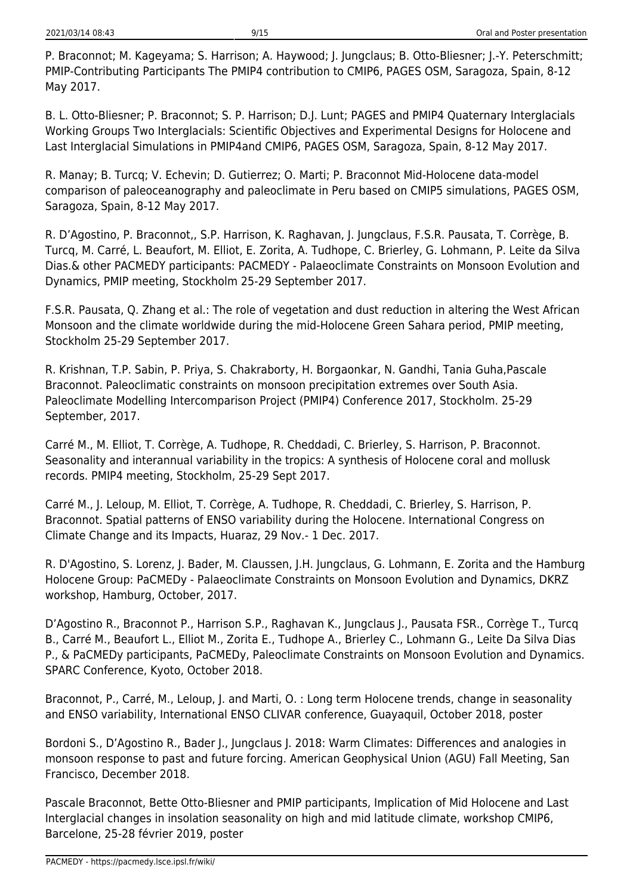P. Braconnot; M. Kageyama; S. Harrison; A. Haywood; J. Jungclaus; B. Otto-Bliesner; J.-Y. Peterschmitt; PMIP-Contributing Participants The PMIP4 contribution to CMIP6, PAGES OSM, Saragoza, Spain, 8-12 May 2017.

B. L. Otto-Bliesner; P. Braconnot; S. P. Harrison; D.J. Lunt; PAGES and PMIP4 Quaternary Interglacials Working Groups Two Interglacials: Scientific Objectives and Experimental Designs for Holocene and Last Interglacial Simulations in PMIP4and CMIP6, PAGES OSM, Saragoza, Spain, 8-12 May 2017.

R. Manay; B. Turcq; V. Echevin; D. Gutierrez; O. Marti; P. Braconnot Mid-Holocene data-model comparison of paleoceanography and paleoclimate in Peru based on CMIP5 simulations, PAGES OSM, Saragoza, Spain, 8-12 May 2017.

R. D'Agostino, P. Braconnot,, S.P. Harrison, K. Raghavan, J. Jungclaus, F.S.R. Pausata, T. Corrège, B. Turcq, M. Carré, L. Beaufort, M. Elliot, E. Zorita, A. Tudhope, C. Brierley, G. Lohmann, P. Leite da Silva Dias.& other PACMEDY participants: PACMEDY - Palaeoclimate Constraints on Monsoon Evolution and Dynamics, PMIP meeting, Stockholm 25-29 September 2017.

F.S.R. Pausata, Q. Zhang et al.: The role of vegetation and dust reduction in altering the West African Monsoon and the climate worldwide during the mid-Holocene Green Sahara period, PMIP meeting, Stockholm 25-29 September 2017.

R. Krishnan, T.P. Sabin, P. Priya, S. Chakraborty, H. Borgaonkar, N. Gandhi, Tania Guha,Pascale Braconnot. Paleoclimatic constraints on monsoon precipitation extremes over South Asia. Paleoclimate Modelling Intercomparison Project (PMIP4) Conference 2017, Stockholm. 25-29 September, 2017.

Carré M., M. Elliot, T. Corrège, A. Tudhope, R. Cheddadi, C. Brierley, S. Harrison, P. Braconnot. Seasonality and interannual variability in the tropics: A synthesis of Holocene coral and mollusk records. PMIP4 meeting, Stockholm, 25-29 Sept 2017.

Carré M., J. Leloup, M. Elliot, T. Corrège, A. Tudhope, R. Cheddadi, C. Brierley, S. Harrison, P. Braconnot. Spatial patterns of ENSO variability during the Holocene. International Congress on Climate Change and its Impacts, Huaraz, 29 Nov.- 1 Dec. 2017.

R. D'Agostino, S. Lorenz, J. Bader, M. Claussen, J.H. Jungclaus, G. Lohmann, E. Zorita and the Hamburg Holocene Group: PaCMEDy - Palaeoclimate Constraints on Monsoon Evolution and Dynamics, DKRZ workshop, Hamburg, October, 2017.

D'Agostino R., Braconnot P., Harrison S.P., Raghavan K., Jungclaus J., Pausata FSR., Corrège T., Turcq B., Carré M., Beaufort L., Elliot M., Zorita E., Tudhope A., Brierley C., Lohmann G., Leite Da Silva Dias P., & PaCMEDy participants, PaCMEDy, Paleoclimate Constraints on Monsoon Evolution and Dynamics. SPARC Conference, Kyoto, October 2018.

Braconnot, P., Carré, M., Leloup, J. and Marti, O. : Long term Holocene trends, change in seasonality and ENSO variability, International ENSO CLIVAR conference, Guayaquil, October 2018, poster

Bordoni S., D'Agostino R., Bader J., Jungclaus J. 2018: Warm Climates: Differences and analogies in monsoon response to past and future forcing. American Geophysical Union (AGU) Fall Meeting, San Francisco, December 2018.

Pascale Braconnot, Bette Otto-Bliesner and PMIP participants, Implication of Mid Holocene and Last Interglacial changes in insolation seasonality on high and mid latitude climate, workshop CMIP6, Barcelone, 25-28 février 2019, poster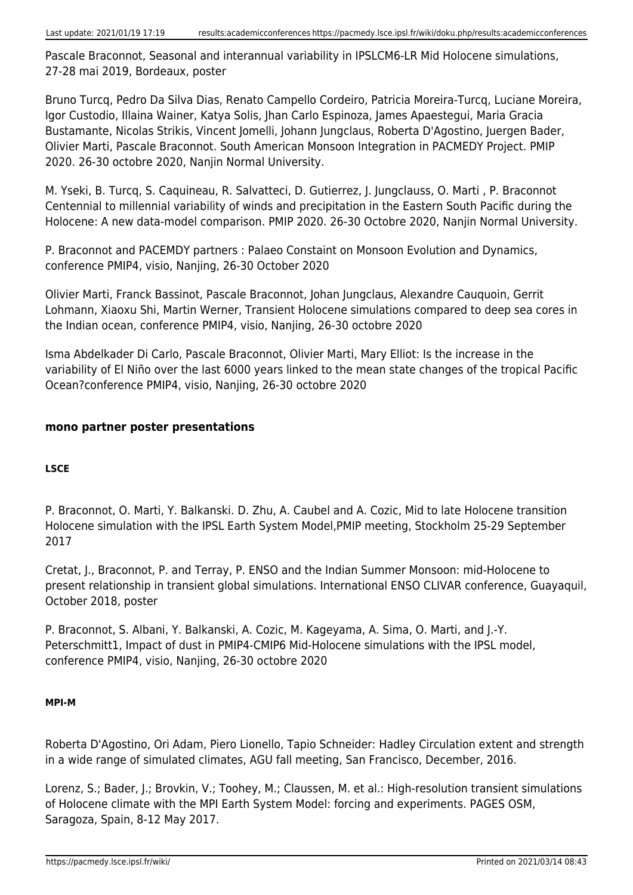Pascale Braconnot, Seasonal and interannual variability in IPSLCM6-LR Mid Holocene simulations, 27-28 mai 2019, Bordeaux, poster

Bruno Turcq, Pedro Da Silva Dias, Renato Campello Cordeiro, Patricia Moreira-Turcq, Luciane Moreira, Igor Custodio, Illaina Wainer, Katya Solis, Jhan Carlo Espinoza, James Apaestegui, Maria Gracia Bustamante, Nicolas Strikis, Vincent Jomelli, Johann Jungclaus, Roberta D'Agostino, Juergen Bader, Olivier Marti, Pascale Braconnot. South American Monsoon Integration in PACMEDY Project. PMIP 2020. 26-30 octobre 2020, Nanjin Normal University.

M. Yseki, B. Turcq, S. Caquineau, R. Salvatteci, D. Gutierrez, J. Jungclauss, O. Marti , P. Braconnot Centennial to millennial variability of winds and precipitation in the Eastern South Pacific during the Holocene: A new data-model comparison. PMIP 2020. 26-30 Octobre 2020, Nanjin Normal University.

P. Braconnot and PACEMDY partners : Palaeo Constaint on Monsoon Evolution and Dynamics, conference PMIP4, visio, Nanjing, 26-30 October 2020

Olivier Marti, Franck Bassinot, Pascale Braconnot, Johan Jungclaus, Alexandre Cauquoin, Gerrit Lohmann, Xiaoxu Shi, Martin Werner, Transient Holocene simulations compared to deep sea cores in the Indian ocean, conference PMIP4, visio, Nanjing, 26-30 octobre 2020

Isma Abdelkader Di Carlo, Pascale Braconnot, Olivier Marti, Mary Elliot: Is the increase in the variability of El Niño over the last 6000 years linked to the mean state changes of the tropical Pacific Ocean?conference PMIP4, visio, Nanjing, 26-30 octobre 2020

#### **mono partner poster presentations**

#### **LSCE**

P. Braconnot, O. Marti, Y. Balkanski. D. Zhu, A. Caubel and A. Cozic, Mid to late Holocene transition Holocene simulation with the IPSL Earth System Model,PMIP meeting, Stockholm 25-29 September 2017

Cretat, J., Braconnot, P. and Terray, P. ENSO and the Indian Summer Monsoon: mid-Holocene to present relationship in transient global simulations. International ENSO CLIVAR conference, Guayaquil, October 2018, poster

P. Braconnot, S. Albani, Y. Balkanski, A. Cozic, M. Kageyama, A. Sima, O. Marti, and J.-Y. Peterschmitt1, Impact of dust in PMIP4-CMIP6 Mid-Holocene simulations with the IPSL model, conference PMIP4, visio, Nanjing, 26-30 octobre 2020

#### **MPI-M**

Roberta D'Agostino, Ori Adam, Piero Lionello, Tapio Schneider: Hadley Circulation extent and strength in a wide range of simulated climates, AGU fall meeting, San Francisco, December, 2016.

Lorenz, S.; Bader, J.; Brovkin, V.; Toohey, M.; Claussen, M. et al.: High-resolution transient simulations of Holocene climate with the MPI Earth System Model: forcing and experiments. PAGES OSM, Saragoza, Spain, 8-12 May 2017.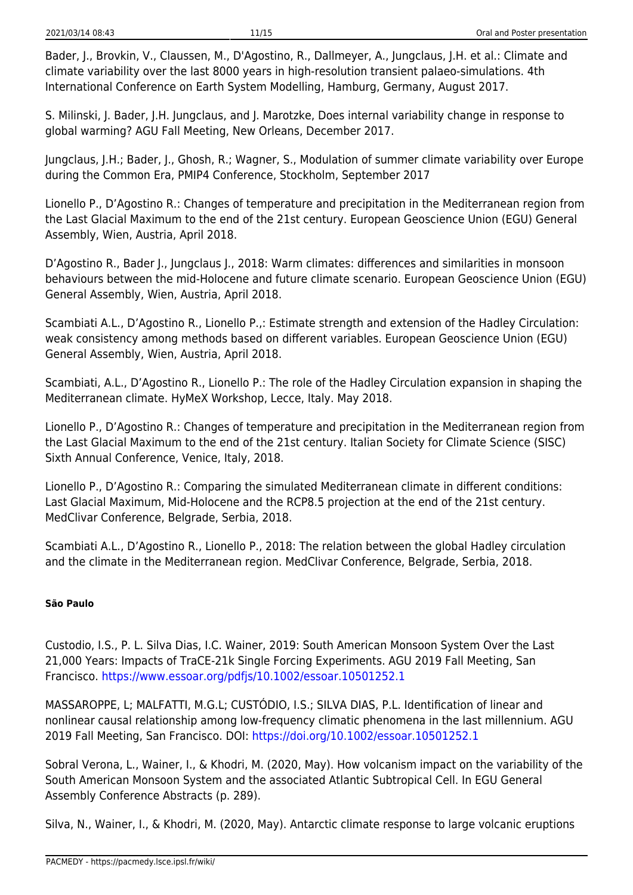Bader, J., Brovkin, V., Claussen, M., D'Agostino, R., Dallmeyer, A., Jungclaus, J.H. et al.: Climate and climate variability over the last 8000 years in high-resolution transient palaeo-simulations. 4th International Conference on Earth System Modelling, Hamburg, Germany, August 2017.

S. Milinski, J. Bader, J.H. Jungclaus, and J. Marotzke, Does internal variability change in response to global warming? AGU Fall Meeting, New Orleans, December 2017.

Jungclaus, J.H.; Bader, J., Ghosh, R.; Wagner, S., Modulation of summer climate variability over Europe during the Common Era, PMIP4 Conference, Stockholm, September 2017

Lionello P., D'Agostino R.: Changes of temperature and precipitation in the Mediterranean region from the Last Glacial Maximum to the end of the 21st century. European Geoscience Union (EGU) General Assembly, Wien, Austria, April 2018.

D'Agostino R., Bader J., Jungclaus J., 2018: Warm climates: differences and similarities in monsoon behaviours between the mid-Holocene and future climate scenario. European Geoscience Union (EGU) General Assembly, Wien, Austria, April 2018.

Scambiati A.L., D'Agostino R., Lionello P.,: Estimate strength and extension of the Hadley Circulation: weak consistency among methods based on different variables. European Geoscience Union (EGU) General Assembly, Wien, Austria, April 2018.

Scambiati, A.L., D'Agostino R., Lionello P.: The role of the Hadley Circulation expansion in shaping the Mediterranean climate. HyMeX Workshop, Lecce, Italy. May 2018.

Lionello P., D'Agostino R.: Changes of temperature and precipitation in the Mediterranean region from the Last Glacial Maximum to the end of the 21st century. Italian Society for Climate Science (SISC) Sixth Annual Conference, Venice, Italy, 2018.

Lionello P., D'Agostino R.: Comparing the simulated Mediterranean climate in different conditions: Last Glacial Maximum, Mid-Holocene and the RCP8.5 projection at the end of the 21st century. MedClivar Conference, Belgrade, Serbia, 2018.

Scambiati A.L., D'Agostino R., Lionello P., 2018: The relation between the global Hadley circulation and the climate in the Mediterranean region. MedClivar Conference, Belgrade, Serbia, 2018.

#### **São Paulo**

Custodio, I.S., P. L. Silva Dias, I.C. Wainer, 2019: South American Monsoon System Over the Last 21,000 Years: Impacts of TraCE-21k Single Forcing Experiments. AGU 2019 Fall Meeting, San Francisco. <https://www.essoar.org/pdfjs/10.1002/essoar.10501252.1>

MASSAROPPE, L; MALFATTI, M.G.L; CUSTÓDIO, I.S.; SILVA DIAS, P.L. Identification of linear and nonlinear causal relationship among low-frequency climatic phenomena in the last millennium. AGU 2019 Fall Meeting, San Francisco. DOI:<https://doi.org/10.1002/essoar.10501252.1>

Sobral Verona, L., Wainer, I., & Khodri, M. (2020, May). How volcanism impact on the variability of the South American Monsoon System and the associated Atlantic Subtropical Cell. In EGU General Assembly Conference Abstracts (p. 289).

Silva, N., Wainer, I., & Khodri, M. (2020, May). Antarctic climate response to large volcanic eruptions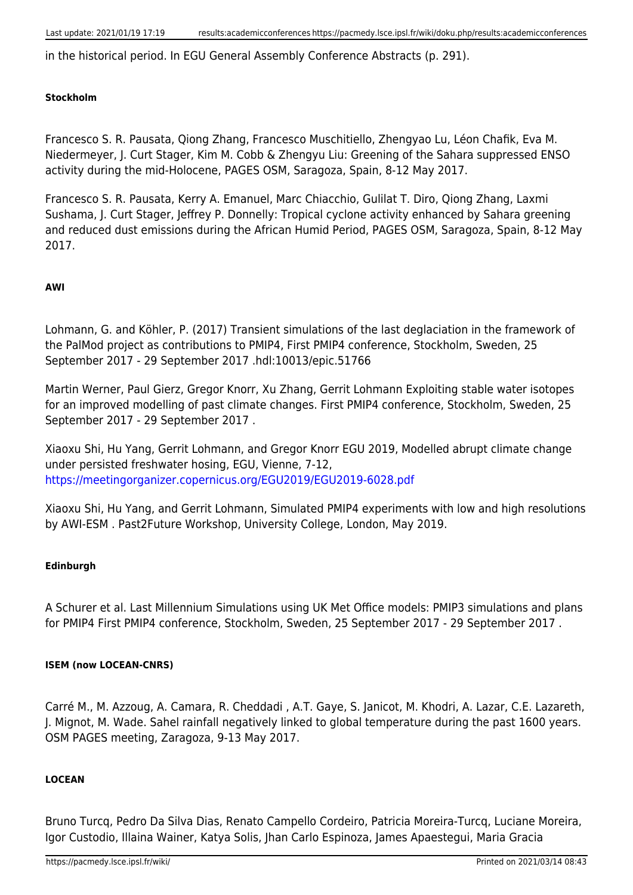in the historical period. In EGU General Assembly Conference Abstracts (p. 291).

#### **Stockholm**

Francesco S. R. Pausata, Qiong Zhang, Francesco Muschitiello, Zhengyao Lu, Léon Chafik, Eva M. Niedermeyer, J. Curt Stager, Kim M. Cobb & Zhengyu Liu: Greening of the Sahara suppressed ENSO activity during the mid-Holocene, PAGES OSM, Saragoza, Spain, 8-12 May 2017.

Francesco S. R. Pausata, Kerry A. Emanuel, Marc Chiacchio, Gulilat T. Diro, Qiong Zhang, Laxmi Sushama, J. Curt Stager, Jeffrey P. Donnelly: Tropical cyclone activity enhanced by Sahara greening and reduced dust emissions during the African Humid Period, PAGES OSM, Saragoza, Spain, 8-12 May 2017.

#### **AWI**

Lohmann, G. and Köhler, P. (2017) Transient simulations of the last deglaciation in the framework of the PalMod project as contributions to PMIP4, First PMIP4 conference, Stockholm, Sweden, 25 September 2017 - 29 September 2017 .hdl:10013/epic.51766

Martin Werner, Paul Gierz, Gregor Knorr, Xu Zhang, Gerrit Lohmann Exploiting stable water isotopes for an improved modelling of past climate changes. First PMIP4 conference, Stockholm, Sweden, 25 September 2017 - 29 September 2017 .

Xiaoxu Shi, Hu Yang, Gerrit Lohmann, and Gregor Knorr EGU 2019, Modelled abrupt climate change under persisted freshwater hosing, EGU, Vienne, 7-12, <https://meetingorganizer.copernicus.org/EGU2019/EGU2019-6028.pdf>

Xiaoxu Shi, Hu Yang, and Gerrit Lohmann, Simulated PMIP4 experiments with low and high resolutions by AWI-ESM . Past2Future Workshop, University College, London, May 2019.

#### **Edinburgh**

A Schurer et al. Last Millennium Simulations using UK Met Office models: PMIP3 simulations and plans for PMIP4 First PMIP4 conference, Stockholm, Sweden, 25 September 2017 - 29 September 2017 .

#### **ISEM (now LOCEAN-CNRS)**

Carré M., M. Azzoug, A. Camara, R. Cheddadi , A.T. Gaye, S. Janicot, M. Khodri, A. Lazar, C.E. Lazareth, J. Mignot, M. Wade. Sahel rainfall negatively linked to global temperature during the past 1600 years. OSM PAGES meeting, Zaragoza, 9-13 May 2017.

#### **LOCEAN**

Bruno Turcq, Pedro Da Silva Dias, Renato Campello Cordeiro, Patricia Moreira-Turcq, Luciane Moreira, Igor Custodio, Illaina Wainer, Katya Solis, Jhan Carlo Espinoza, James Apaestegui, Maria Gracia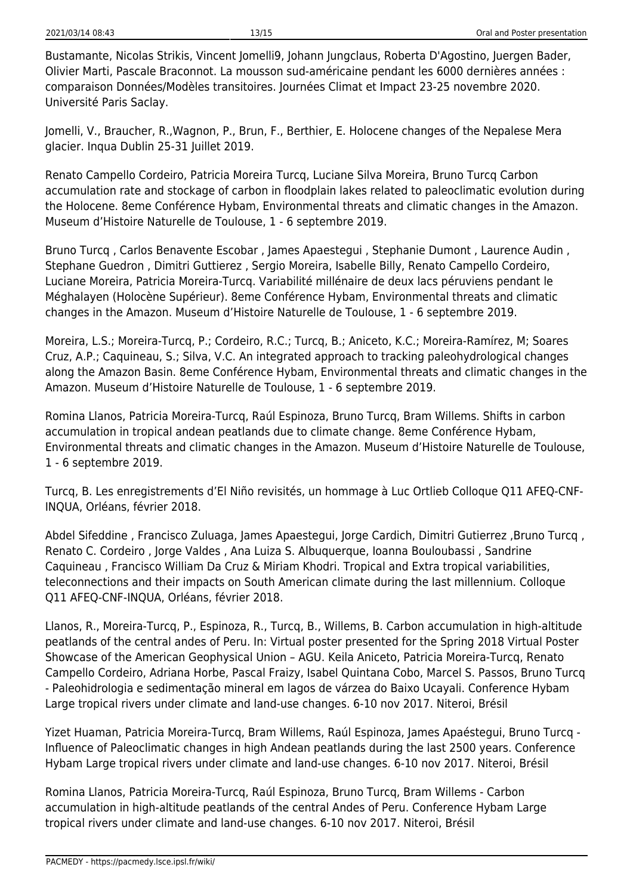Bustamante, Nicolas Strikis, Vincent Jomelli9, Johann Jungclaus, Roberta D'Agostino, Juergen Bader, Olivier Marti, Pascale Braconnot. La mousson sud-américaine pendant les 6000 dernières années : comparaison Données/Modèles transitoires. Journées Climat et Impact 23-25 novembre 2020. Université Paris Saclay.

Jomelli, V., Braucher, R.,Wagnon, P., Brun, F., Berthier, E. Holocene changes of the Nepalese Mera glacier. Inqua Dublin 25-31 Juillet 2019.

Renato Campello Cordeiro, Patricia Moreira Turcq, Luciane Silva Moreira, Bruno Turcq Carbon accumulation rate and stockage of carbon in floodplain lakes related to paleoclimatic evolution during the Holocene. 8eme Conférence Hybam, Environmental threats and climatic changes in the Amazon. Museum d'Histoire Naturelle de Toulouse, 1 - 6 septembre 2019.

Bruno Turcq , Carlos Benavente Escobar , James Apaestegui , Stephanie Dumont , Laurence Audin , Stephane Guedron , Dimitri Guttierez , Sergio Moreira, Isabelle Billy, Renato Campello Cordeiro, Luciane Moreira, Patricia Moreira-Turcq. Variabilité millénaire de deux lacs péruviens pendant le Méghalayen (Holocène Supérieur). 8eme Conférence Hybam, Environmental threats and climatic changes in the Amazon. Museum d'Histoire Naturelle de Toulouse, 1 - 6 septembre 2019.

Moreira, L.S.; Moreira-Turcq, P.; Cordeiro, R.C.; Turcq, B.; Aniceto, K.C.; Moreira-Ramírez, M; Soares Cruz, A.P.; Caquineau, S.; Silva, V.C. An integrated approach to tracking paleohydrological changes along the Amazon Basin. 8eme Conférence Hybam, Environmental threats and climatic changes in the Amazon. Museum d'Histoire Naturelle de Toulouse, 1 - 6 septembre 2019.

Romina Llanos, Patricia Moreira-Turcq, Raúl Espinoza, Bruno Turcq, Bram Willems. Shifts in carbon accumulation in tropical andean peatlands due to climate change. 8eme Conférence Hybam, Environmental threats and climatic changes in the Amazon. Museum d'Histoire Naturelle de Toulouse, 1 - 6 septembre 2019.

Turcq, B. Les enregistrements d'El Niño revisités, un hommage à Luc Ortlieb Colloque Q11 AFEQ-CNF-INQUA, Orléans, février 2018.

Abdel Sifeddine, Francisco Zuluaga, James Apaestegui, Jorge Cardich, Dimitri Gutierrez, Bruno Turcq, Renato C. Cordeiro , Jorge Valdes , Ana Luiza S. Albuquerque, Ioanna Bouloubassi , Sandrine Caquineau , Francisco William Da Cruz & Miriam Khodri. Tropical and Extra tropical variabilities, teleconnections and their impacts on South American climate during the last millennium. Colloque Q11 AFEQ-CNF-INQUA, Orléans, février 2018.

Llanos, R., Moreira-Turcq, P., Espinoza, R., Turcq, B., Willems, B. Carbon accumulation in high-altitude peatlands of the central andes of Peru. In: Virtual poster presented for the Spring 2018 Virtual Poster Showcase of the American Geophysical Union – AGU. Keila Aniceto, Patricia Moreira-Turcq, Renato Campello Cordeiro, Adriana Horbe, Pascal Fraizy, Isabel Quintana Cobo, Marcel S. Passos, Bruno Turcq - Paleohidrologia e sedimentação mineral em lagos de várzea do Baixo Ucayali. Conference Hybam Large tropical rivers under climate and land-use changes. 6-10 nov 2017. Niteroi, Brésil

Yizet Huaman, Patricia Moreira-Turcq, Bram Willems, Raúl Espinoza, James Apaéstegui, Bruno Turcq - Influence of Paleoclimatic changes in high Andean peatlands during the last 2500 years. Conference Hybam Large tropical rivers under climate and land-use changes. 6-10 nov 2017. Niteroi, Brésil

Romina Llanos, Patricia Moreira-Turcq, Raúl Espinoza, Bruno Turcq, Bram Willems - Carbon accumulation in high-altitude peatlands of the central Andes of Peru. Conference Hybam Large tropical rivers under climate and land-use changes. 6-10 nov 2017. Niteroi, Brésil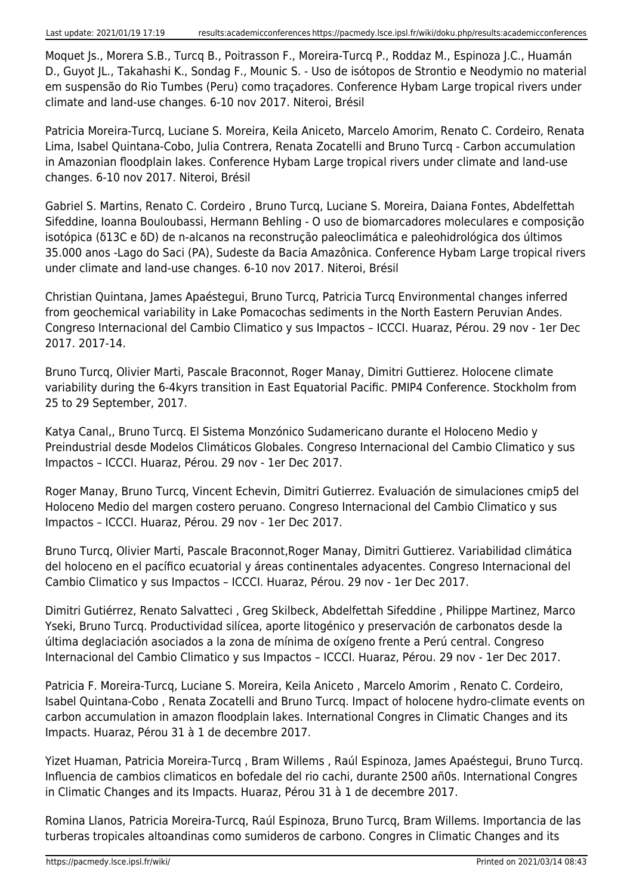Moquet Js., Morera S.B., Turcq B., Poitrasson F., Moreira-Turcq P., Roddaz M., Espinoza J.C., Huamán D., Guyot JL., Takahashi K., Sondag F., Mounic S. - Uso de isótopos de Strontio e Neodymio no material em suspensão do Rio Tumbes (Peru) como traçadores. Conference Hybam Large tropical rivers under climate and land-use changes. 6-10 nov 2017. Niteroi, Brésil

Patricia Moreira-Turcq, Luciane S. Moreira, Keila Aniceto, Marcelo Amorim, Renato C. Cordeiro, Renata Lima, Isabel Quintana-Cobo, Julia Contrera, Renata Zocatelli and Bruno Turcq - Carbon accumulation in Amazonian floodplain lakes. Conference Hybam Large tropical rivers under climate and land-use changes. 6-10 nov 2017. Niteroi, Brésil

Gabriel S. Martins, Renato C. Cordeiro , Bruno Turcq, Luciane S. Moreira, Daiana Fontes, Abdelfettah Sifeddine, Ioanna Bouloubassi, Hermann Behling - O uso de biomarcadores moleculares e composição isotópica (δ13C e δD) de n-alcanos na reconstrução paleoclimática e paleohidrológica dos últimos 35.000 anos -Lago do Saci (PA), Sudeste da Bacia Amazônica. Conference Hybam Large tropical rivers under climate and land-use changes. 6-10 nov 2017. Niteroi, Brésil

Christian Quintana, James Apaéstegui, Bruno Turcq, Patricia Turcq Environmental changes inferred from geochemical variability in Lake Pomacochas sediments in the North Eastern Peruvian Andes. Congreso Internacional del Cambio Climatico y sus Impactos – ICCCI. Huaraz, Pérou. 29 nov - 1er Dec 2017. 2017-14.

Bruno Turcq, Olivier Marti, Pascale Braconnot, Roger Manay, Dimitri Guttierez. Holocene climate variability during the 6-4kyrs transition in East Equatorial Pacific. PMIP4 Conference. Stockholm from 25 to 29 September, 2017.

Katya Canal,, Bruno Turcq. El Sistema Monzónico Sudamericano durante el Holoceno Medio y Preindustrial desde Modelos Climáticos Globales. Congreso Internacional del Cambio Climatico y sus Impactos – ICCCI. Huaraz, Pérou. 29 nov - 1er Dec 2017.

Roger Manay, Bruno Turcq, Vincent Echevin, Dimitri Gutierrez. Evaluación de simulaciones cmip5 del Holoceno Medio del margen costero peruano. Congreso Internacional del Cambio Climatico y sus Impactos – ICCCI. Huaraz, Pérou. 29 nov - 1er Dec 2017.

Bruno Turcq, Olivier Marti, Pascale Braconnot,Roger Manay, Dimitri Guttierez. Variabilidad climática del holoceno en el pacífico ecuatorial y áreas continentales adyacentes. Congreso Internacional del Cambio Climatico y sus Impactos – ICCCI. Huaraz, Pérou. 29 nov - 1er Dec 2017.

Dimitri Gutiérrez, Renato Salvatteci , Greg Skilbeck, Abdelfettah Sifeddine , Philippe Martinez, Marco Yseki, Bruno Turcq. Productividad silícea, aporte litogénico y preservación de carbonatos desde la última deglaciación asociados a la zona de mínima de oxígeno frente a Perú central. Congreso Internacional del Cambio Climatico y sus Impactos – ICCCI. Huaraz, Pérou. 29 nov - 1er Dec 2017.

Patricia F. Moreira-Turcq, Luciane S. Moreira, Keila Aniceto , Marcelo Amorim , Renato C. Cordeiro, Isabel Quintana-Cobo , Renata Zocatelli and Bruno Turcq. Impact of holocene hydro-climate events on carbon accumulation in amazon floodplain lakes. International Congres in Climatic Changes and its Impacts. Huaraz, Pérou 31 à 1 de decembre 2017.

Yizet Huaman, Patricia Moreira-Turcq , Bram Willems , Raúl Espinoza, James Apaéstegui, Bruno Turcq. Influencia de cambios climaticos en bofedale del rio cachi, durante 2500 añ0s. International Congres in Climatic Changes and its Impacts. Huaraz, Pérou 31 à 1 de decembre 2017.

Romina Llanos, Patricia Moreira-Turcq, Raúl Espinoza, Bruno Turcq, Bram Willems. Importancia de las turberas tropicales altoandinas como sumideros de carbono. Congres in Climatic Changes and its